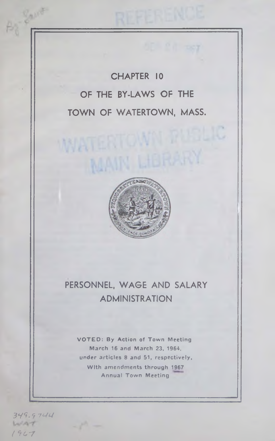**CHAPTER 10 OF THE BY-LAWS OF THE TOWN OF WATERTOWN, MASS.**

WATERTOW

**MAIN L** 



# **PERSONNEL, WAGE AND SALARY ADMINISTRATION**

**VO TED : By Action of Town Meeting March 16 and March 23, 1964, under articles 8 and 51, respectively, With amendments through 1967 Annual Town Meeting**

*3\*79.9 7'-('-I*  $L2AT$ *( 91.-7*

Sport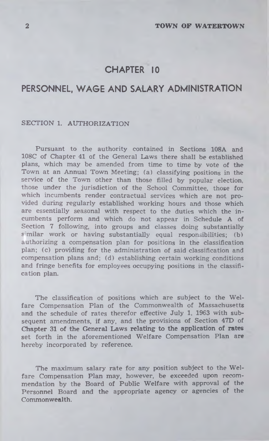# **CHAPTER 10**

# **PERSONNEL, WAGE AND SALARY ADMINISTRATION**

## SECTION 1. AUTHORIZATION

Pursuant to the authority contained in Sections 108A and 108C of Chapter 41 of the General Laws there shall be established plans, which may be amended from time to time by vote of the Town at an Annual Town Meeting; (a) classifying positions in the service of the Town other than those filled by popular election, those under the jurisdiction of the School Committee, those for which incumbents render contractual services which are not provided during regularly established working hours and those which are essentially seasonal with respect to the duties which the incumbents perform and which do not appear in Schedule A of Section 7 following, into groups and classes doing substantially s milar work or having substantially equal responsibilities; (b) authorizing a compensation plan for positions in the classification plan; (c) providing for the administration of said classification and compensation plans and; (d) establishing certain working conditions and fringe benefits for employees occupying positions in the classification plan.

The classification of positions which are subject to the Welfare Compensation Plan of the Commonwealth of Massachusetts and the schedule of rates therefor effective July 1, 1963 with subsequent amendments, if any, and the provisions of Section 47D of **Chapter** 31 **of the General Laws relating to the application of rates** set forth in the aforementioned Welfare Compensation **Plan are** hereby incorporated by reference.

The maximum salary rate for any position subject to the Welfare Compensation Plan may, however, be exceeded upon recommendation by the Board of Public Welfare with approval of the Personnel Board and the appropriate agency or agencies of the Commonwealth.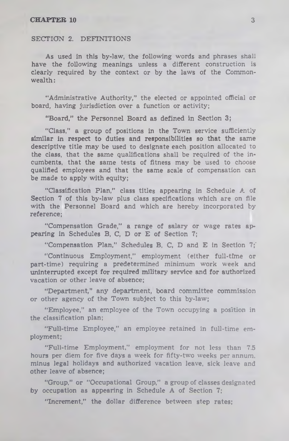#### SECTION 2. DEFINITIONS

As used in this by-law, the following words and phrases shall have the following meanings unless a different construction is clearly required by the context or by the laws of the Commonwealth :

"Administrative Authority," the elected or appointed official or board, having jurisdiction over a function or activity;

"Board," the Personnel Board as defined in Section 3;

"Class," a group of positions in the Town service sufficiently similar in respect to duties and responsibilities so that the same descriptive title may be used to designate each position allocated to the class, that the same qualifications shall be required of the incumbents, that the same tests of fitness may be used to choose qualified employees and that the same scale of compensation can be made to apply with equity;

"Classification Plan," class titles appearing in Schedule A of Section 7 of this by-law plus class specifications which are on file with the Personnel Board and which are hereby incorporated by reference;

"Compensation Grade," a range of salary or wage rates appearing in Schedules B, C, D or E of Section 7;

"Compensation Plan," Schedules B, C, D and E in Section 7;'

"Continuous Employment," employment (either full-time or part-time) requiring a predetermined minimum work week and uninterrupted except for required military service and for authorized vacation or other leave of absence;

"Department," any department, board committee commission or other agency of the Town subject to this by-law;

"Employee," an employee of the Town occupying a position in the classification plan;

"Full-time Employee," an employee retained in full-time employment;

"Full-time Employment," employment for not less than 7.5 hours per diem for five days a week for fifty-two weeks per annum, minus legal holidays and authorized vacation leave, sick leave and other leave of absence;

"Group," or "Occupational Group," a group of classes designated by occupation as appearing in Schedule A of Section 7;

"Increment," the dollar difference between step rates;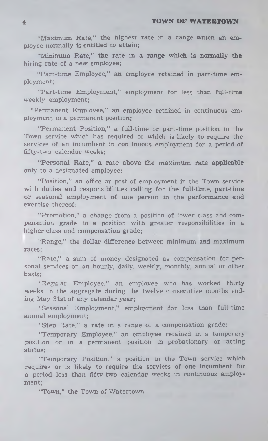"Maximum Rate," the highest rate in a range which an employee normally is entitled to attain;

"Minimum Rate," the rate in a range which is normally the hiring rate of a new employee;

"Part-time Employee," an employee retained in part-time employment;

"Part-time Employment," employment for less than full-time weekly employment;

"Permanent Employee," an employee retained in continuous employment in a permanent position;

"Permanent Position," a full-time or part-time position in the Town service which has required or which is likely to require the services of an incumbent in continuous employment for a period of fifty-two calendar weeks;

"Personal Rate," a rate above the maximum rate applicable only to a designated employee;

"Position," an office or post of employment in the Town service with duties and responsibilities calling for the full-time, part-time or seasonal employment of one person in the performance and exercise thereof;

"Promotion," a change from a position of lower class and compensation grade to a position with greater responsibilities in a higher class and compensation grade;

"Range," the dollar difference between minimum and maximum rates;

"Rate," a sum of money designated as compensation for personal services on an hourly, daily, weekly, monthly, annual or other basis;

"Regular Employee," an employee who has worked thirty weeks in the aggregate during the twelve consecutive months ending May 31st of any calendar year;

"Seasonal Employment," employment for less than full-time annual employment;

"Step Rate," a rate in a range of a compensation grade;

"Temporary Employee," an employee retained in a temporary position or in a permanent position in probationary or acting status;

"Temporary Position," a position in the Town service which requires or is likely to require the services of one incumbent for a period less than fifty-two calendar weeks in continuous employment;

"Town," the Town of Watertown.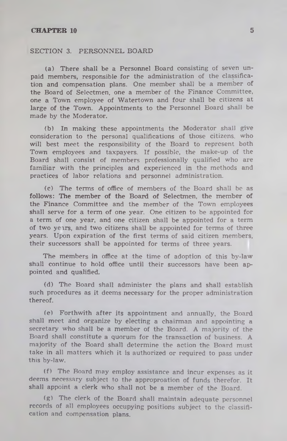#### SECTION 3. PERSONNEL BOARD

(a) There shall be a Personnel Board consisting of seven unpaid members, responsible for the administration of the classification and compensation plans. One member shall be a member of the Board of Selectmen, one a member of the Finance Committee, one a Town employee of Watertown and four shall be citizens at large of the Town. Appointments to the Personnel Board shall be made by the Moderator.

(b) In making these appointments the Moderator shall give consideration to the personal qualifications of those citizens, who will best meet the responsibility of the Board to represent both Town employees and taxpayers. If possible, the make-up of the Board shall consist of members professionally qualified who are familiar with the principles and experienced in the methods and practices of labor relations and personnel administration.

(c) The terms of office of members of the Board shall be as follows: The member of the Board of Selectmen, the member of the Finance Committee and the member of the Town employees shall serve for a term of one year. One citizen to be appointed for a term of one year, and one citizen shall be appointed for a term of two years, and two citizens shall be appointed for terms of three years. Upon expiration of the first terms of said citizen members, their successors shall be appointed for terms of three years.

The members in office at the time of adoption of this by-law shall continue to hold office until their successors have been appointed and qualified.

(d) The Board shall administer the plans and shall establish such procedures as it deems necessary for the proper administration thereof.

(e) Forthwith after its appointment and annually, the Board shall meet and organize by electing a chairman and appointing a secretary who shall be a member of the Board. A majority of the Board shall constitute a quorum for the transaction of business. A majority of the Board shall determine the action the Board must take in all matters which it is authorized or required to pass under this by-law.

(f) The Board may employ assistance and incur expenses as it deems necessary subject to the approproation of funds therefor. It shall appoint a clerk who shall not be a member of the Board.

(g) The clerk of the Board shall maintain adequate personnel records of all employees occupying positions subject to the classification and compensation plans.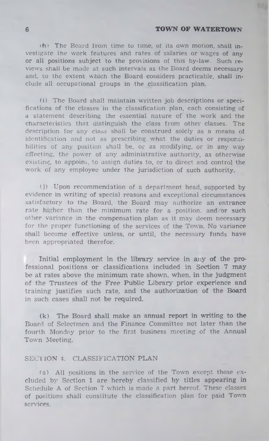$(h)$  The Board from time to time, of its own motion, shall investigate the work features and rates of salaries or wages of any or all positions subject to the provisions of this by-law. Such reviews shall be made at such intervals as the Board deems necessary and, to the extent which the Board considers practicable, shall include all occupational groups in the classification plan.

(i) The Board shall maintain written job descriptions or specifications of the classes in the classification plan, each consisting of a statement describing the essential nature of the work and the characteristics that distinguish the class from other classes. The description for any class shall be construed solely as a means of identification and not as prescribing what the duties or responsibilities of any position shall be, or as modifying, or in any way affecting, the power of any administrative authority, as otherwise existing, to appoint, to assign duties to, or to direct and control the work of any employee under the jurisdiction of such authority.

(j) Upon recommendation of a department head, supported by evidence in writing of special reasons and exceptional circumstances satisfactory to the Board, the Board may authorize an entrance rate higher than the minimum rate for a position, and/or such oilier variance in the compensation plan as it may deem necessary for the proper functioning of the services of the Town. No variance shall become effective unless, or until, the necessary funds have been appropriated therefor.

Initial employment in the library service in any of the professional positions or classifications included in Section 7 may be at rates above the minimum rate shown, when, in the judgment of the Trustees of the Free Public Library prior experience and training justifies such rate, and the authorization of the Board in such cases shall not be required.

(k) The Board shall make an annual report in writing to the Board of Selectmen and the Finance Committee not later than the fourth Monday prior to the first business meeting of the Annual Town Meeting.

## SECTION 4. CLASSIFICATION PLAN

(a) All positions in the service of the Town except those excluded by Section 1 are hereby classified by titles appearing in Schedule A of Section 7 which is made a part hereof. These classes of positions shall constitute the classification plan for paid Town services.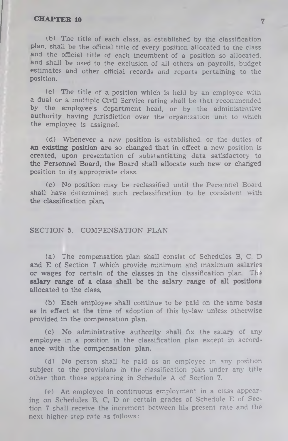lb) The title of each class, as established by the classification plan, shall be the official title of every position allocated to the class and the official title of each incumbent of a position so allocated, and shall be used to the exclusion of ail others on payrolls, budget estimates and other official records and reports pertaining to the position.

(c) The title of a position which is held by an employee with a dual or a multiple Civil Service rating shall be that recommended by the employee's department head, or by the administrative authority having jurisdiction over the organization unit to which the employee is assigned.

(d) Whenever a new position is established, or the duties of an existing position are so changed that in effect a new position is created, upon presentation of substantiating data satisfactory to the Personnel Board, the Board shall allocate such new or changed position to its appropriate class.

(e) No position may be reclassified until the Personnel Board shall have determined such reclassification to be consistent with the classification plan.

### SECTION 5. COMPENSATION PLAN

(a) The compensation plan shall consist of Schedules B, C, D and E of Section 7 which provide minimum and maximum salaries or wages for certain of the classes in the classification plan. The salary range of a class shall be the salary range of all positions allocated to the class.

(b) Each employee shall continue to be paid on the same basis as in effect at the time of adoption of this by-law unless otherwise provided in the compensation plan.

(c) No administrative authority shall fix the salary of any employee in a position in the classification plan except in accordance with the compensation plan.

(d) No person shall he paid as an employee in any position subject to the provisions in the classification plan under any title other than those appearing in Schedule A of Section 7.

(e) An employee in continuous employment in a class appearing on Schedules B, C, D or certain grades of Schedule E of Section 7 shall receive the increment between his present rate and the next higher step rate as follows: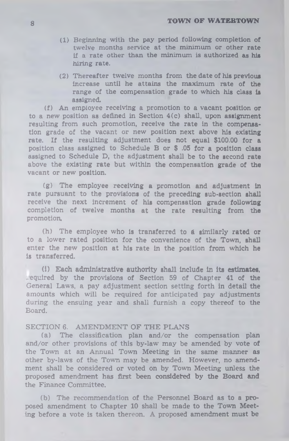- (1) Beginning with the pay period following completion of twelve months service at the minimum or other rate if a rate other than the minimum is authorized as his hiring rate.
- (2) Thereafter twelve months from the date of his previous increase until he attains the maximum rate of the range of the compensation grade to which his class is assigned.

(f) An employee receiving a promotion to a vacant position or to a new position as defined in Section 4(c) shall, upon assignment resulting from such promotion, receive the rate in the compensation grade of the vacant or new position next above his existing rate. If the resulting adjustment does not equal \$100.00 for a position class assigned to Schedule B or \$ .05 for a position class assigned to Schedule D, the adjustment shall be to the second rate above the existing rate but within the compensation grade of the vacant or new position.

(g) The employee receiving a promotion and adjustment in rate pursuant to the provisions of the preceding sub-section shall receive the next increment of his compensation grade following completion of twelve months at the rate resulting from the promotion.

(h) The employee who is transferred to *6* similarly rated or to a lower rated position for the convenience of the Town, shall enter the new position at his rate in the position from which he is transferred.

(1) Each administrative authority shall include in its **estimates,** equired by the provisions of Section 59 of Chapter 41 of the General Laws, a pay adjustment section setting forth in detail the amounts which will be required for anticipated pay adjustments during the ensuing year and shall furnish a copy thereof to the Board.

## SECTION 6. AMENDMENT OF THE PLANS

(a) The classification plan and/or the compensation plan and/or other provisions of this by-law may be amended by vote of the Town at an Annual Town Meeting in the same manner as other by-laws of the Town may be amended. However, no amendment shall be considered or voted on by Town Meeting unless the proposed amendment has first been considered by the Board and the Finance Committee.

(b) The recommendation of the Personnel Board as to a proposed amendment to Chapter 10 shall be made to the Town Meeting before a vote is taken thereon. A proposed amendment must be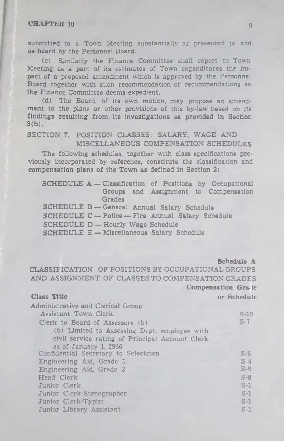submitted to a Town Meeting substantially as presented to and as heard by the Personnel Board.

(c) Similarly the Finance Committee shall report to Town Meeting as a part of its estimates of Town expenditures the impact of a proposed amendment which is approved by the Personnel Board together with such recommendation or recommendations as the Finance Committee deems expedient.

(d) The Board, of its own motion, may propose an amendment to the plans or other provisions of this by-law based on its findings resulting from Its Investigations as provided In Section 3(h).

### SECTION 7. POSITION CLASSES: SALARY, WAGE AND MISCELLANEOUS COMPENSATION SCHEDULES

The following schedules, together with class specifications previously incorporated by reference, constitute the classification and compensation plans of the Town as defined in Section 2:

|                                                   | <b>SCHEDULE A</b> -Classification of Positions by Occupational |
|---------------------------------------------------|----------------------------------------------------------------|
|                                                   | Groups and Assignment to Compensation                          |
| <b>Grades</b>                                     |                                                                |
|                                                   | SCHEDULE B-General Annual Salary Schedule                      |
|                                                   | <b>SCHEDULE C</b> - Police - Fire Annual Salary Schedule       |
| <b>SCHEDULE D-Hourly Wage Schedule</b>            |                                                                |
| <b>SCHEDULE E - Miscellaneous Salary Schedule</b> |                                                                |

Schedule A

CLASSIFICATION OF POSITIONS BY OCCUPATIONAL GROUPS AND ASSIGNMENT OF CLASSES TO COMPENSATION GRADES Compensation Grale

Class Title or Schedule

| Administrative and Clerical Group               |        |
|-------------------------------------------------|--------|
| Assistant Town Clerk                            | $S-10$ |
| Clerk to Board of Assessors (b)                 | $S-7$  |
| (b) Limited to Assessing Dept. employee with    |        |
| civil service rating of Principal Account Clerk |        |
| as of January 1, 1966                           |        |
| Confidential Secretary to Selectmen             | $S-6$  |
| Engineering Aid, Grade 1                        | $S-4$  |
| Engineering Aid, Grade 2                        | $S-8$  |
| Head Clerk                                      | $S-8$  |
| Junior Clerk                                    | $S-1$  |
| Junior Clerk-Stenographer                       | $S-1$  |
| Junior Clerk-Typist                             | $S-1$  |
| Junior Library Assistant                        | $S-1$  |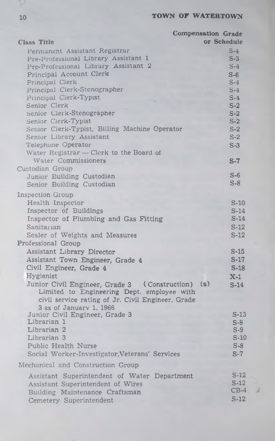|                                                                      | <b>Compensation Grade</b> |                |
|----------------------------------------------------------------------|---------------------------|----------------|
| <b>Class Title</b>                                                   |                           | or Schedule    |
| Permanent Assistant Registrar                                        |                           | $S-4$          |
| Pre-Professional Library Assistant 1                                 |                           | $S-3$          |
| Pre-Professional Library Assistant 2                                 |                           | $S-4$          |
| Principal Account Clerk                                              |                           | $S-6$          |
| Principal Clerk                                                      |                           | $S-4$          |
| Principal Clerk-Stenographer                                         |                           | $S-4$          |
| Principal Clerk-Typist                                               |                           | $S-4$          |
| Senior Clerk                                                         |                           | $S-2$          |
| Senior Clerk-Stenographer                                            |                           | $S-2$          |
| Senior Clerk-Typist<br>Senior Clerk-Typist, Billing Machine Operator |                           | $S-2$<br>$S-2$ |
| Senior Library Assistant                                             |                           | $S-2$          |
| Telephone Operator                                                   |                           | $S-3$          |
| Water Registrar - Clerk to the Board of                              |                           |                |
| Water Commissioners                                                  |                           | $S-7$          |
| Custodian Group                                                      |                           |                |
| Junior Building Custodian                                            |                           | $S-6$          |
| Senior Building Custodian                                            |                           | $S-8$          |
|                                                                      |                           |                |
| Inspection Group<br>Health Inspector                                 |                           | $S-10$         |
| Inspector of Buildings                                               |                           | $S-14$         |
| Inspector of Plumbing and Gas Fitting                                |                           | $S-14$         |
| Sanitarian                                                           |                           | $S-12$         |
| Sealer of Weights and Measures                                       |                           | $S-12$         |
| Professional Group                                                   |                           |                |
| <b>Assistant Library Director</b>                                    |                           | $S-15$         |
| Assistant Town Engineer, Grade 4                                     |                           | $S-17$         |
| Civil Engineer, Grade 4                                              |                           | $S-18$         |
| Hygienist                                                            |                           | $X-1$          |
| Junior Civil Engineer, Grade 3 (Construction)                        | (a)                       | $S-14$         |
| Limited to Engineering Dept. employee with                           |                           |                |
| civil service rating of Jr. Civil Engineer, Grade                    |                           |                |
| 3 as of January 1, 1966                                              |                           |                |
| Junior Civil Engineer, Grade 3                                       |                           | $S-13$         |
| Librarian 1                                                          |                           | $S-8$          |
| Librarian 2                                                          |                           | $S-9$          |
| Librarian 3                                                          |                           | $S-10$         |
| Public Health Nurse                                                  |                           | $S-8$          |
| Social Worker-Investigator, Veterans' Services                       |                           | $S-7$          |
| Mechanical and Construction Group                                    |                           |                |
| Assistant Superintendent of Water Department                         |                           | $S-12$         |
| Assistant Superintendent of Wires                                    |                           | $S-12$         |
| Building Maintenance Craftsman                                       |                           | $CB-4$         |
| Cemetery Superintendent                                              |                           | $S-12$         |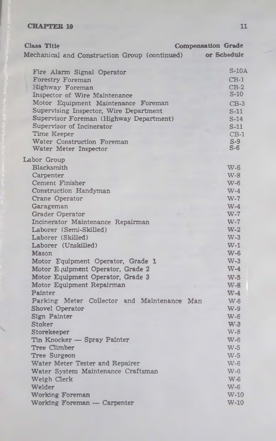| Mechanical and Construction Group (continued)<br>or Schedule<br>$S-10A$<br>Fire Alarm Signal Operator<br>$CB-1$<br><b>Forestry Foreman</b><br>Highway Foreman<br>$CB-2$<br>S-10<br>Inspector of Wire Maintenance<br>Motor Equipment Maintenance Foreman<br>$CB-3$<br>Supervising Inspector, Wire Department<br>$S-11$<br>Supervisor Foreman (Highway Department)<br>$S-14$<br>Supervisor of Incinerator<br>$S-11$<br>Time Keeper<br>$CB-1$<br>Water Construction Foreman<br>$S-9$<br>$S-6$<br>Water Meter Inspector<br>Blacksmith<br>$W-6$<br>Carpenter<br>$W-8$<br>Cement Finisher<br>$W-6$<br>Construction Handyman<br>$W-4$<br>Crane Operator<br>$W-7$<br>Garageman<br>$W-4$<br><b>Grader Operator</b><br>$W-7$<br>Incinerator Maintenance Repairman<br>$W-7$<br>Laborer (Semi-Skilled)<br>$W-2$<br>$W-3$<br>Laborer (Skilled)<br>Laborer (Unskilled)<br>$W-1$<br>$W - 6$<br><b>Mason</b><br>$W-3$<br>Motor Equipment Operator, Grade 1<br>$W-4$<br>Motor Equipment Operator, Grade 2<br>Motor Equipment Operator, Grade 3<br>$W-5$<br>Motor Equipment Repairman<br>$W-8$<br>Painter<br>$W-4$<br>Parking Meter Collector and Maintenance Man<br><b>W-6</b><br><b>Shovel Operator</b><br>$W-9$<br>Sign Painter<br>$W-6$<br><b>Stoker</b><br>$W-3$<br>$W-8$<br>Storekeeper<br>Tin Knocker - Spray Painter<br>$W-6$<br><b>Tree Climber</b><br>$W-5$<br>Tree Surgeon<br>$W-5$<br>Water Meter Tester and Repairer<br>$W-6$<br>Water System Maintenance Craftsman<br>$W-6$<br>$W - 6$<br>Weigh Clerk<br>Welder<br>$W-6$ | <b>Class Title</b> | <b>Compensation Grade</b> |
|----------------------------------------------------------------------------------------------------------------------------------------------------------------------------------------------------------------------------------------------------------------------------------------------------------------------------------------------------------------------------------------------------------------------------------------------------------------------------------------------------------------------------------------------------------------------------------------------------------------------------------------------------------------------------------------------------------------------------------------------------------------------------------------------------------------------------------------------------------------------------------------------------------------------------------------------------------------------------------------------------------------------------------------------------------------------------------------------------------------------------------------------------------------------------------------------------------------------------------------------------------------------------------------------------------------------------------------------------------------------------------------------------------------------------------------------------------------------------------------------------------------------|--------------------|---------------------------|
|                                                                                                                                                                                                                                                                                                                                                                                                                                                                                                                                                                                                                                                                                                                                                                                                                                                                                                                                                                                                                                                                                                                                                                                                                                                                                                                                                                                                                                                                                                                      |                    |                           |
|                                                                                                                                                                                                                                                                                                                                                                                                                                                                                                                                                                                                                                                                                                                                                                                                                                                                                                                                                                                                                                                                                                                                                                                                                                                                                                                                                                                                                                                                                                                      |                    |                           |
|                                                                                                                                                                                                                                                                                                                                                                                                                                                                                                                                                                                                                                                                                                                                                                                                                                                                                                                                                                                                                                                                                                                                                                                                                                                                                                                                                                                                                                                                                                                      |                    |                           |
|                                                                                                                                                                                                                                                                                                                                                                                                                                                                                                                                                                                                                                                                                                                                                                                                                                                                                                                                                                                                                                                                                                                                                                                                                                                                                                                                                                                                                                                                                                                      |                    |                           |
|                                                                                                                                                                                                                                                                                                                                                                                                                                                                                                                                                                                                                                                                                                                                                                                                                                                                                                                                                                                                                                                                                                                                                                                                                                                                                                                                                                                                                                                                                                                      |                    |                           |
|                                                                                                                                                                                                                                                                                                                                                                                                                                                                                                                                                                                                                                                                                                                                                                                                                                                                                                                                                                                                                                                                                                                                                                                                                                                                                                                                                                                                                                                                                                                      |                    |                           |
|                                                                                                                                                                                                                                                                                                                                                                                                                                                                                                                                                                                                                                                                                                                                                                                                                                                                                                                                                                                                                                                                                                                                                                                                                                                                                                                                                                                                                                                                                                                      |                    |                           |
|                                                                                                                                                                                                                                                                                                                                                                                                                                                                                                                                                                                                                                                                                                                                                                                                                                                                                                                                                                                                                                                                                                                                                                                                                                                                                                                                                                                                                                                                                                                      |                    |                           |
|                                                                                                                                                                                                                                                                                                                                                                                                                                                                                                                                                                                                                                                                                                                                                                                                                                                                                                                                                                                                                                                                                                                                                                                                                                                                                                                                                                                                                                                                                                                      |                    |                           |
|                                                                                                                                                                                                                                                                                                                                                                                                                                                                                                                                                                                                                                                                                                                                                                                                                                                                                                                                                                                                                                                                                                                                                                                                                                                                                                                                                                                                                                                                                                                      |                    |                           |
|                                                                                                                                                                                                                                                                                                                                                                                                                                                                                                                                                                                                                                                                                                                                                                                                                                                                                                                                                                                                                                                                                                                                                                                                                                                                                                                                                                                                                                                                                                                      |                    |                           |
|                                                                                                                                                                                                                                                                                                                                                                                                                                                                                                                                                                                                                                                                                                                                                                                                                                                                                                                                                                                                                                                                                                                                                                                                                                                                                                                                                                                                                                                                                                                      |                    |                           |
|                                                                                                                                                                                                                                                                                                                                                                                                                                                                                                                                                                                                                                                                                                                                                                                                                                                                                                                                                                                                                                                                                                                                                                                                                                                                                                                                                                                                                                                                                                                      | Labor Group        |                           |
|                                                                                                                                                                                                                                                                                                                                                                                                                                                                                                                                                                                                                                                                                                                                                                                                                                                                                                                                                                                                                                                                                                                                                                                                                                                                                                                                                                                                                                                                                                                      |                    |                           |
|                                                                                                                                                                                                                                                                                                                                                                                                                                                                                                                                                                                                                                                                                                                                                                                                                                                                                                                                                                                                                                                                                                                                                                                                                                                                                                                                                                                                                                                                                                                      |                    |                           |
|                                                                                                                                                                                                                                                                                                                                                                                                                                                                                                                                                                                                                                                                                                                                                                                                                                                                                                                                                                                                                                                                                                                                                                                                                                                                                                                                                                                                                                                                                                                      |                    |                           |
|                                                                                                                                                                                                                                                                                                                                                                                                                                                                                                                                                                                                                                                                                                                                                                                                                                                                                                                                                                                                                                                                                                                                                                                                                                                                                                                                                                                                                                                                                                                      |                    |                           |
|                                                                                                                                                                                                                                                                                                                                                                                                                                                                                                                                                                                                                                                                                                                                                                                                                                                                                                                                                                                                                                                                                                                                                                                                                                                                                                                                                                                                                                                                                                                      |                    |                           |
|                                                                                                                                                                                                                                                                                                                                                                                                                                                                                                                                                                                                                                                                                                                                                                                                                                                                                                                                                                                                                                                                                                                                                                                                                                                                                                                                                                                                                                                                                                                      |                    |                           |
|                                                                                                                                                                                                                                                                                                                                                                                                                                                                                                                                                                                                                                                                                                                                                                                                                                                                                                                                                                                                                                                                                                                                                                                                                                                                                                                                                                                                                                                                                                                      |                    |                           |
|                                                                                                                                                                                                                                                                                                                                                                                                                                                                                                                                                                                                                                                                                                                                                                                                                                                                                                                                                                                                                                                                                                                                                                                                                                                                                                                                                                                                                                                                                                                      |                    |                           |
|                                                                                                                                                                                                                                                                                                                                                                                                                                                                                                                                                                                                                                                                                                                                                                                                                                                                                                                                                                                                                                                                                                                                                                                                                                                                                                                                                                                                                                                                                                                      |                    |                           |
|                                                                                                                                                                                                                                                                                                                                                                                                                                                                                                                                                                                                                                                                                                                                                                                                                                                                                                                                                                                                                                                                                                                                                                                                                                                                                                                                                                                                                                                                                                                      |                    |                           |
|                                                                                                                                                                                                                                                                                                                                                                                                                                                                                                                                                                                                                                                                                                                                                                                                                                                                                                                                                                                                                                                                                                                                                                                                                                                                                                                                                                                                                                                                                                                      |                    |                           |
|                                                                                                                                                                                                                                                                                                                                                                                                                                                                                                                                                                                                                                                                                                                                                                                                                                                                                                                                                                                                                                                                                                                                                                                                                                                                                                                                                                                                                                                                                                                      |                    |                           |
|                                                                                                                                                                                                                                                                                                                                                                                                                                                                                                                                                                                                                                                                                                                                                                                                                                                                                                                                                                                                                                                                                                                                                                                                                                                                                                                                                                                                                                                                                                                      |                    |                           |
|                                                                                                                                                                                                                                                                                                                                                                                                                                                                                                                                                                                                                                                                                                                                                                                                                                                                                                                                                                                                                                                                                                                                                                                                                                                                                                                                                                                                                                                                                                                      |                    |                           |
|                                                                                                                                                                                                                                                                                                                                                                                                                                                                                                                                                                                                                                                                                                                                                                                                                                                                                                                                                                                                                                                                                                                                                                                                                                                                                                                                                                                                                                                                                                                      |                    |                           |
|                                                                                                                                                                                                                                                                                                                                                                                                                                                                                                                                                                                                                                                                                                                                                                                                                                                                                                                                                                                                                                                                                                                                                                                                                                                                                                                                                                                                                                                                                                                      |                    |                           |
|                                                                                                                                                                                                                                                                                                                                                                                                                                                                                                                                                                                                                                                                                                                                                                                                                                                                                                                                                                                                                                                                                                                                                                                                                                                                                                                                                                                                                                                                                                                      |                    |                           |
|                                                                                                                                                                                                                                                                                                                                                                                                                                                                                                                                                                                                                                                                                                                                                                                                                                                                                                                                                                                                                                                                                                                                                                                                                                                                                                                                                                                                                                                                                                                      |                    |                           |
|                                                                                                                                                                                                                                                                                                                                                                                                                                                                                                                                                                                                                                                                                                                                                                                                                                                                                                                                                                                                                                                                                                                                                                                                                                                                                                                                                                                                                                                                                                                      |                    |                           |
|                                                                                                                                                                                                                                                                                                                                                                                                                                                                                                                                                                                                                                                                                                                                                                                                                                                                                                                                                                                                                                                                                                                                                                                                                                                                                                                                                                                                                                                                                                                      |                    |                           |
|                                                                                                                                                                                                                                                                                                                                                                                                                                                                                                                                                                                                                                                                                                                                                                                                                                                                                                                                                                                                                                                                                                                                                                                                                                                                                                                                                                                                                                                                                                                      |                    |                           |
|                                                                                                                                                                                                                                                                                                                                                                                                                                                                                                                                                                                                                                                                                                                                                                                                                                                                                                                                                                                                                                                                                                                                                                                                                                                                                                                                                                                                                                                                                                                      |                    |                           |
|                                                                                                                                                                                                                                                                                                                                                                                                                                                                                                                                                                                                                                                                                                                                                                                                                                                                                                                                                                                                                                                                                                                                                                                                                                                                                                                                                                                                                                                                                                                      |                    |                           |
|                                                                                                                                                                                                                                                                                                                                                                                                                                                                                                                                                                                                                                                                                                                                                                                                                                                                                                                                                                                                                                                                                                                                                                                                                                                                                                                                                                                                                                                                                                                      |                    |                           |
|                                                                                                                                                                                                                                                                                                                                                                                                                                                                                                                                                                                                                                                                                                                                                                                                                                                                                                                                                                                                                                                                                                                                                                                                                                                                                                                                                                                                                                                                                                                      |                    |                           |
|                                                                                                                                                                                                                                                                                                                                                                                                                                                                                                                                                                                                                                                                                                                                                                                                                                                                                                                                                                                                                                                                                                                                                                                                                                                                                                                                                                                                                                                                                                                      |                    |                           |
|                                                                                                                                                                                                                                                                                                                                                                                                                                                                                                                                                                                                                                                                                                                                                                                                                                                                                                                                                                                                                                                                                                                                                                                                                                                                                                                                                                                                                                                                                                                      |                    |                           |
|                                                                                                                                                                                                                                                                                                                                                                                                                                                                                                                                                                                                                                                                                                                                                                                                                                                                                                                                                                                                                                                                                                                                                                                                                                                                                                                                                                                                                                                                                                                      |                    |                           |
|                                                                                                                                                                                                                                                                                                                                                                                                                                                                                                                                                                                                                                                                                                                                                                                                                                                                                                                                                                                                                                                                                                                                                                                                                                                                                                                                                                                                                                                                                                                      | Working Foreman    | <b>W-10</b>               |
| Working Foreman - Carpenter<br>$W-10$                                                                                                                                                                                                                                                                                                                                                                                                                                                                                                                                                                                                                                                                                                                                                                                                                                                                                                                                                                                                                                                                                                                                                                                                                                                                                                                                                                                                                                                                                |                    |                           |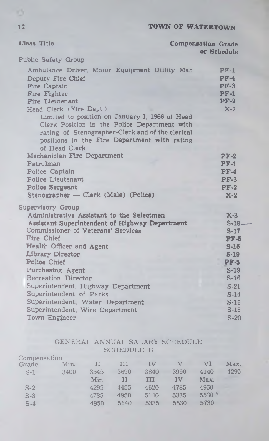| <b>Class Title</b>                                                                                                                                                                                                  | <b>Compensation Grade</b><br><b>OF Schedule</b> |
|---------------------------------------------------------------------------------------------------------------------------------------------------------------------------------------------------------------------|-------------------------------------------------|
|                                                                                                                                                                                                                     |                                                 |
| <b>Public Safety Group</b>                                                                                                                                                                                          |                                                 |
| Ambulance Driver, Motor Equipment Utility Man                                                                                                                                                                       | $PF-1$                                          |
| Deputy Fire Chief                                                                                                                                                                                                   | $PF-4$                                          |
| Fire Captain                                                                                                                                                                                                        | <b>PF-3</b>                                     |
| Fire Fighter                                                                                                                                                                                                        | $PF-1$                                          |
| <b>Fire Lieutenant</b>                                                                                                                                                                                              | $PF-2$                                          |
| Head Clerk (Fire Dept.)                                                                                                                                                                                             | $X-2$                                           |
| Limited to position on January 1, 1966 of Head<br>Clerk Position in the Police Department with<br>rating of Stenographer-Clerk and of the clerical<br>positions in the Fire Department with rating<br>of Head Clerk |                                                 |
| Mechanician Fire Department                                                                                                                                                                                         | $PF-2$                                          |
| Patrolman                                                                                                                                                                                                           | <b>PF-1</b>                                     |
| Police Captain                                                                                                                                                                                                      | $PF-4$                                          |
| <b>Police Lieutenant</b>                                                                                                                                                                                            | $PF-3$                                          |
| <b>Police Sergeant</b>                                                                                                                                                                                              | $PF-2$                                          |
| Stenographer — Clerk (Male) (Police)                                                                                                                                                                                | $X-2$                                           |
| <b>Supervisory Group</b>                                                                                                                                                                                            |                                                 |
| Administrative Assistant to the Selectmen                                                                                                                                                                           | $X-3$                                           |
| Assistant Superintendent of Highway Department                                                                                                                                                                      | $S-18$                                          |
| <b>Commissioner of Veterans' Services</b>                                                                                                                                                                           | $S-17$                                          |
| <b>Fire Chief</b>                                                                                                                                                                                                   | <b>PF-5</b>                                     |
| Health Officer and Agent                                                                                                                                                                                            | $S-16$                                          |
| Library Director                                                                                                                                                                                                    | $S-19$                                          |
| Police Chief                                                                                                                                                                                                        | <b>PF-5</b>                                     |
| Purchasing Agent                                                                                                                                                                                                    | $S-19$                                          |
| Recreation Director                                                                                                                                                                                                 | $S-16$                                          |
| Superintendent, Highway Department                                                                                                                                                                                  | $S-21$                                          |
| Superintendent of Parks                                                                                                                                                                                             | $S-14$                                          |
| Superintendent, Water Department                                                                                                                                                                                    | $S-16$                                          |
| Superintendent, Wire Department                                                                                                                                                                                     | $S-16$                                          |
| Town Engineer                                                                                                                                                                                                       | $S-20$                                          |

# GENERAL ANNUAL SALARY SCHEDULE SCHEDULE B

| Compensation |      |      |      |      |      |                   |      |
|--------------|------|------|------|------|------|-------------------|------|
| Grade        | Min. | П    | ПI   | ΙV   |      | VI                | Max. |
| $S-1$        | 3400 | 3545 | 3690 | 3840 | 3990 | 4140              | 4295 |
|              |      | Min. | П    | ш    | IV   | Max.              |      |
| $S-2$        |      | 4295 | 4455 | 4620 | 4785 | 4950              |      |
| $S-3$        |      | 4785 | 4950 | 5140 | 5335 | $5530$ $^{\circ}$ |      |
| $S-4$        |      | 4950 | 5140 | 5335 | 5530 | 5730              |      |
|              |      |      |      |      |      |                   |      |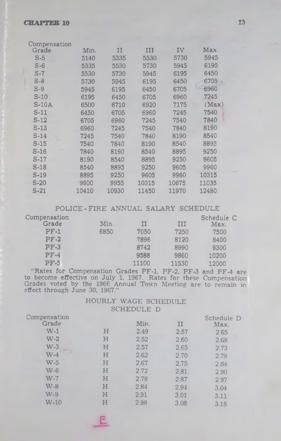| Compensation |       |       |       |       |       |
|--------------|-------|-------|-------|-------|-------|
| Grade        | Min.  | IJ    | ш     | IV    | Max.  |
| $S-5$        | 5140  | 5335  | 5530  | 5730  | 5945  |
| $S-6$        | 5335  | 5530  | 5730  | 5945  | 6195  |
| $S-7$        | 5530  | 5730  | 5945  | 6195  | 6450  |
| $S-8$        | 5730  | 5945  | 6195  | 6450  | 6705  |
| $S-9$        | 5945  | 6195  | 6450  | 6705  | 6960  |
| $S-10$       | 6195  | 6450  | 6705  | 6960  | 7245  |
| $S-10A$      | 6500  | 6710  | 6920  | 7175  | (Max) |
| S-11         | 6450  | 6705  | 6960  | 7245  | 7540  |
| S-12         | 6705  | 6960  | 7245  | 7540  | 7840  |
| S-13         | 6960  | 7245  | 7540  | 7840  | 8190  |
| $S-14$       | 7245  | 7540  | 7840  | 8190  | 8540  |
| $S-15$       | 7540  | 7840  | 8190  | 8540  | 8895  |
| $S-16$       | 7840  | 8190  | 8540  | 8895  | 9250  |
| S-17         | 8190  | 8540  | 8895  | 9250  | 9605  |
| S-18         | 8540  | 8895  | 9250  | 9605  | 9960  |
| S-19         | 8895  | 9250  | 9605  | 9960  | 10315 |
| $S-20$       | 9600  | 9955  | 10315 | 10675 | 11035 |
| $S-21$       | 10410 | 10930 | 11450 | 11970 | 12480 |
|              |       |       |       |       |       |

POLICE-FIRE ANNUAL SALARY SCHEDULE

| Compensation |      |       |       | Schedule C |
|--------------|------|-------|-------|------------|
| Grade        | Min. | IJ    | IJI   | Max.       |
| $PF-1$       | 6850 | 7050  | 7250  | 7500       |
| $PF-2$       |      | 7896  | 8120  | 8400       |
| $PF-3$       |      | 8742  | 8990  | 9300       |
| $PF-4$       |      | 9588  | 9860  | 10200      |
| $PF-5$       |      | 11100 | 11530 | 12000      |

"Rates for Compensation Grades PF-1, PF-2, PF-3 and PF-4 are to become effective on July 1, 1967. Rates for these Compensation Grades voted by the 1966 Annual Town Meeting are to remain in effect through June 30, 1967."

## HOURLY WAGE SCHEDULE SCHEDULE D

| Compensation |   |      | $-$  | Schedule D |
|--------------|---|------|------|------------|
| Grade        |   | Min. | щ    | Max.       |
| $W-1$        | н | 2.49 | 2.57 | 2.65       |
| $W-2$        | H | 2.52 | 2.60 | 2.68       |
| $W-3$        | н | 2.57 | 2.65 | 2.73       |
| $W-4$        | Н | 2.62 | 2.70 | 2.78       |
| $W-5$        | н | 2.67 | 2.75 | 2.84       |
| $W-6$        | Н | 2.72 | 2.81 | 2.90       |
| $W-7$        | Η | 2.78 | 2.87 | 2.97       |
| $W-S$        | Η | 2.84 | 2.94 | 3.04       |
| $W-9$        | H | 2.91 | 3.01 | 3.11       |
| $W-10$       | н | 2.98 | 3.08 | 3.18       |
|              |   |      |      |            |

£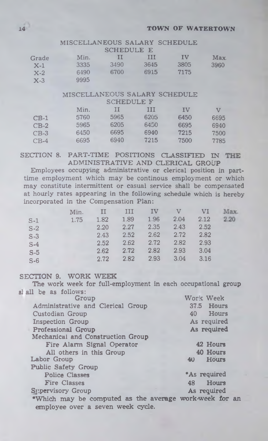# MISCELLANEOUS SALARY SCHEDULE

| Min. | н    | Ш    | τv                | Max  |
|------|------|------|-------------------|------|
| 3335 | 3490 | 3645 | 3805              | 3960 |
| 6490 | 6700 | 6915 | 7175              |      |
| 9995 |      |      |                   |      |
|      |      |      | <b>SCHEDULE E</b> |      |

# MISCELLANEOUS SALARY SCHEDULE

|        |      | <b>SCHEDULE F</b> |      |      |      |
|--------|------|-------------------|------|------|------|
|        | Min. | Н                 | ш    | IV   | V    |
| $CB-1$ | 5760 | 5965              | 6205 | 6450 | 6695 |
| $CB-2$ | 5965 | 6205              | 6450 | 6695 | 6940 |
| $CB-3$ | 6450 | 6695              | 6940 | 7215 | 7500 |
| $CB-4$ | 6695 | 6940              | 7215 | 7500 | 7785 |

SECTION 8. PART-TIME POSITIONS CLASSIFIED IN THE ADMINISTRATIVE AND CLERICAL GROUP

Employees occupying administrative or clerical position in parttime employment which may be continous employment or which may constitute intermittent or casual service shall be compensated at hourly rates appearing in the following schedule which is hereby incorporated in the Compensation Plan:

|       | Min. | $\mathbf{H}$ | Ш    | IV   | V    | VI.  | Max. |
|-------|------|--------------|------|------|------|------|------|
| $S-1$ | 1.75 | 1.82         | 1.89 | 1.96 | 2.04 | 2.12 | 2.20 |
| $S-2$ |      | 2.20         | 2.27 | 2.35 | 2.43 | 2.52 |      |
| $S-3$ |      | 2.43         | 2.52 | 2.62 | 2.72 | 2.82 |      |
| $S-4$ |      | 2.52         | 2.62 | 2.72 | 2.82 | 2.93 |      |
| $S-5$ |      | 2.62         | 2.72 | 2.82 | 2.93 | 3.04 |      |
| $S-6$ |      | 2.72         | 2.82 | 2.93 | 3.04 | 3.16 |      |

## SECTION 9. WORK WEEK

The work week for full-employment in each occupational group si all be as follows:

| au de as ionows.                                                                            |              |
|---------------------------------------------------------------------------------------------|--------------|
| Group                                                                                       | Work Week    |
| Administrative and Clerical Group                                                           | 37.5 Hours   |
| Custodian Group                                                                             | Hours<br>40  |
| <b>Inspection Group</b>                                                                     | As required  |
| <b>Professional Group</b>                                                                   | As required  |
| Mechanical and Construction Group                                                           |              |
| Fire Alarm Signal Operator                                                                  | 42 Hours     |
| All others in this Group                                                                    | 40 Hours     |
| Labor Group                                                                                 | Hours<br>40  |
| <b>Public Safety Group</b>                                                                  |              |
| <b>Police Classes</b>                                                                       | *As required |
| <b>Fire Classes</b>                                                                         | Hours<br>48  |
| Supervisory Group                                                                           | As required  |
| *Which may be computed as the average work-week for an<br>employee over a seven week cycle. |              |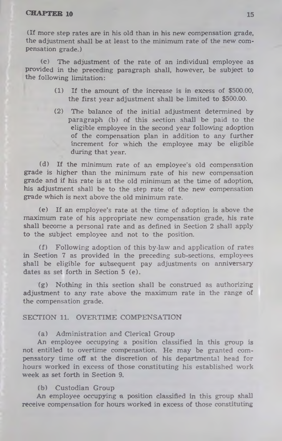(If more step rates are in his old than in his new compensation grade, the adjustment shall be at least to the minimum rate of the new compensation grade.)

(c) The adjustment of the rate of an individual employee as provided in the preceding paragraph shall, however, be subject to the following limitation:

- (1) If the amount of the increase is in excess of \$500.00, the first year adjustment shall be limited to \$500.00.
- (2) The balance of the initial adjustment determined by paragraph (b) of this section shall be paid to the eligible employee in the second year following adoption of the compensation plan in addition to any further increment for which the employee may be eligible during that year.

(d) If the minimum rate of an employee's old compensation grade is higher than the minimum rate of his new compensation grade and if his rate is at the old minimum at the time of adoption, his adjustment shall be to the step rate of the new compensation grade which is next above the old minimum rate.

(e) If an employee's rate at the time of adoption is above the maximum rate of his appropriate new compensation grade, his rate shall become a personal rate and as defined in Section 2 shall apply to the subject employee and not to the position.

(f) Following adoption of this by-law and application of rates in Section 7 as provided in the preceding sub-sections, employees shall be eligible for subsequent pay adjustments on anniversary dates as set forth in Section 5 (e).

(g) Nothing in this section shall be construed as authorizing adjustment to any rate above the maximum rate in the range of the compensation grade.

#### SECTION 11. OVERTIME COMPENSATION

(a) Administration and Clerical Group

An employee occupying a position classified in this group is not entitled to overtime compensation. He may be granted compensatory time off at the discretion of his departmental head for hours worked in excess of those constituting his established work week as set forth in Section 9.

### (b) Custodian Group

An employee occupying a position classified in this group shall receive compensation for hours worked in excess of those constituting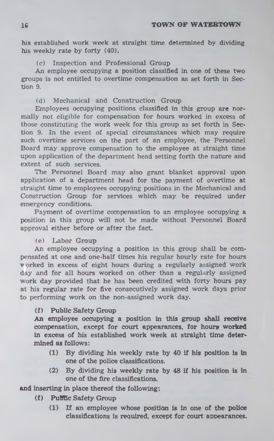his established work week at straight time determined by dividing his weekly rate by forty (40).

## (c) Inspection and Professional Group

An employee occupying a position classified **in** one of these two groups is not entitled to overtime compensation as set forth **in Sec**tion 9.

## (d) Mechanical and Construction Group

Employees occupying positions classified in this group are normally not eligible for compensation for hours worked in excess of those constituting the work week for this group as set forth in Section 9. In the event of special circumstances which may require such overtime services on the part of an employee, the Personnel Board may approve compensation to the employee at straight time upon application of the department head setting forth the nature and extent of such services.

The Personnel Board may also grant blanket approval upon application of a department head for the payment of overtime at straight time to employees occupying positions in the Mechanical and Construction Group for services which may be required under emergency conditions.

Payment of overtime compensation to an employee occupying **a** position in this group will not be made without Personnel Board approval either before or after the fact.

## (e) Labor Group

An employee occupying a position in this group shall be compensated at one and one-half times his regular hourly rate for hours worked in excess of eight hours during a regularly assigned work day and for all hours worked on other than a regularly assigned work day provided that he has been credited with forty hours pay at his regular rate for five consecutively assigned work days prior to performing work on the non-assigned work day.

## **(f) Public Safety Group**

**An employee occupying a position in this group shall receive compensation, except for court appearances, for hours worked in excess of his established work week at straight time determined as follows:**

- **(1) By dividing his weekly rate by 40 if his position is in one of the police classifications.**
- **(2) By dividing his weekly rate by 48 if his position is in one of the fire classifications.**

## **and inserting in place thereof the following:**

- **(f) Public Safety Group**
	- **(1) If an employee whose position is in one of the police classifications is required, except for court appearances.**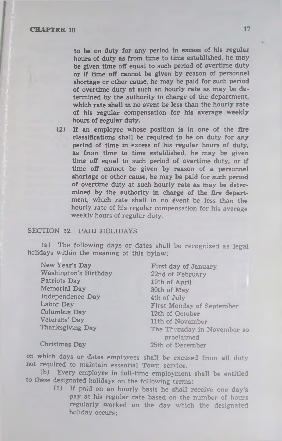to be on duty for any period in excess of his regular hours of duty as from time to time established, he may be given time off equal to such period of overtime duty or if time off cannot be given by reason of personnel shortage or other cause, he may be paid for such period of overtime duty at such an hourly rate as may be determined by the authority in charge of the department, which rate shall in no event be less than the hourly rate of his regular compensation for his average weekly hours of regular duty.

(2) If an employee whose position is in one of the fire classifications shall be required to be on duty for any period of time in excess of his regular hours of duty, as from time to time established, he may be given time off equal to such period of overtime duty, or if time off cannot be given by reason of a personnel shortage or other cause, he may be paid for such period of overtime duty at such hourly rate as may be determined by the authority in charge of the fire department, which rate shall in no event be less than the hourly rate of his regular compensation for his average weekly hours of regular duty.

#### SECTION 12. PAID HOLIDAYS

(a) The following days or dates shall be recognized as legal holidays within the meaning of this bylaw:

New Year's Day Washington's Birthday Patriots Day Memorial Day Independence Day Labor Day Columbus Day Veterans' Day Thanksgiving Day

First day of January 22nd of February 19th of April 30th of May 4th of July First Monday of September 12th of October 11th of November The Thursday in November so proclaimed 25th of December

Christmas Day

on which days or dates employees shall be excused from all duty not required to maintain essential Town service.

(b) Every employee in full-time employment shall be entitled to these designated holidays on the following terms:

(1) If paid on an hourly basis he shall receive one day's pay at his regular rate based on the number of hours regularly worked on the day which the designated holiday occurs;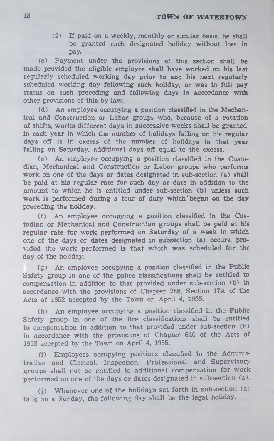(2) If paid on a weekly, monthly or similar basis, he shall be granted each designated holiday without loss in pay.

(c) Payment under the provisions of this section shall be made provided the eligible employee shall have worked on his last regularly scheduled working day prior to and his next regularly scheduled working day following such holiday, or was in full pay status on such preceding and following days in accordance with other provisions of this by-law.

(d) An employee occupying a position classified in the Mechanical and Construction or Labor groups who, because of a rotation of shifts, works different days in successive weeks shall be granted, in each year in which the number of holidays falling on his regular days off is in excess of the number of holidays in that year falling on Saturday, additional days off equal to the excess.

(e) An employee occupying a position classified in the Custodian, Mechanical and Construction or Labor groups who performs work on one of the days or dates designated in sub-section (a) shall be paid at his regular rate for such day or date in addition to the amount to which he is entitled under sub-section (b) unless such work is performed during a tour of duty which' began on the day preceding the holiday.

(f) An employee occupying a position classified in the Custodian or Mechanical and Construction groups shall be paid at his regular rate for work performed on Saturday of a week in which one of the days or dates designated in subsection (a) occurs, provided the work performed is that which was scheduled for the day of the holiday.

(g) An employee occupying a position classified in the Public Safety group in one of the police classifications shall be entitled to compensation in addition to that provided under sub-section (b) in accordance with the provisions of Chapter 268, Section 17A of the Acts of 1952 accepted by the Town on April 4, 1955.

(h) An employee occupying a position classified in the Public Safety group in one of the fire classifications shall be entitled to compensation in addition to that provided under sub-section (b) in accordance with the provisions of Chapter 640 of the Acts of 1953 accepted by the Town on April 4, 1955.

(i) Employees occupying positions classified in the Administrative and Clerical, Inspection, Professional and Supervisory groups shall not be entitled to additional compensation for work performed on one of the days or dates designated in sub section (a).

(j) Whenever one of the holidays set forth in sub-section (a) falls on a Sunday, the following day shall be the legal holiday.